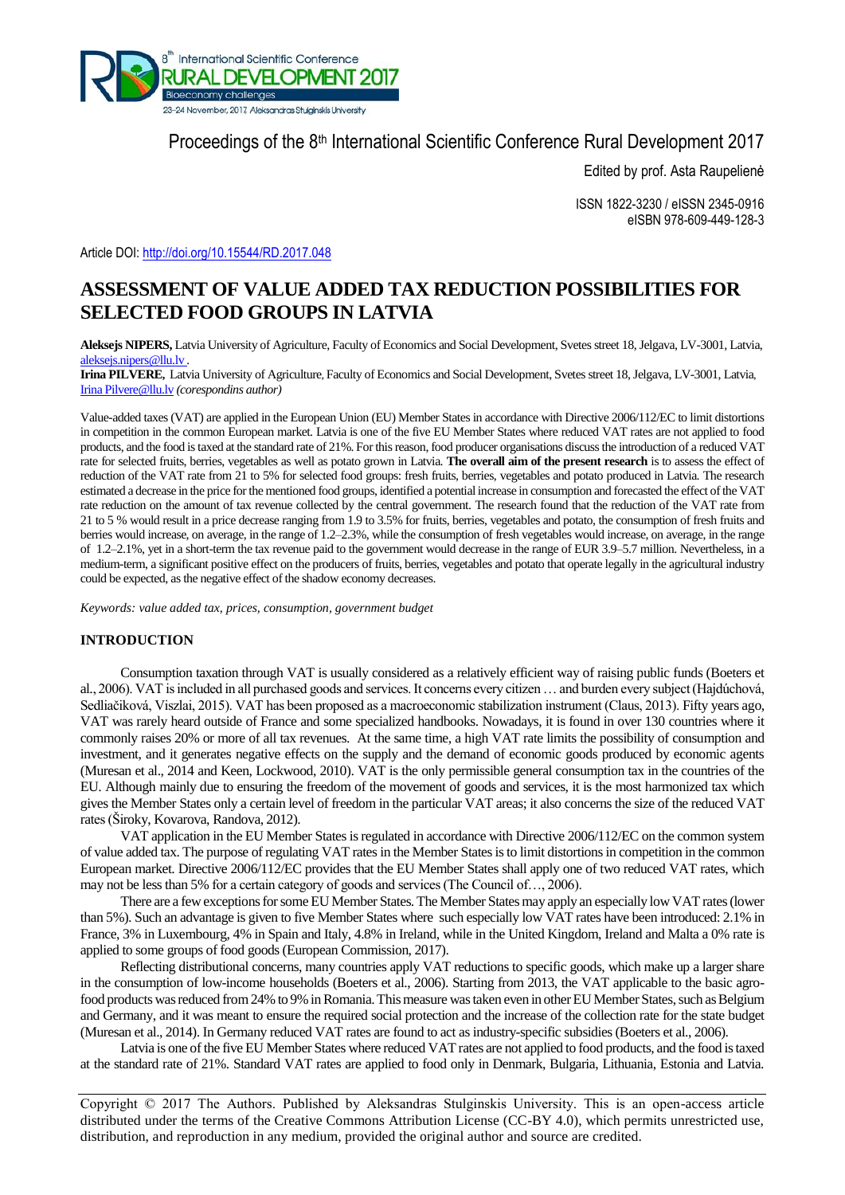

# Proceedings of the 8<sup>th</sup> International Scientific Conference Rural Development 2017

Edited by prof. Asta Raupelienė

ISSN 1822-3230 / eISSN 2345-0916 eISBN 978-609-449-128-3

Article DOI: <http://doi.org/10.15544/RD.2017.048>

# **ASSESSMENT OF VALUE ADDED TAX REDUCTION POSSIBILITIES FOR SELECTED FOOD GROUPS IN LATVIA**

**Aleksejs NIPERS,** Latvia University of Agriculture, Faculty of Economics and Social Development, Svetes street 18, Jelgava, LV-3001, Latvia, [aleksejs.nipers@llu.lv](mailto:Aleksejs.Nipers@llu.lv) *.*

**Irina PILVERE,** Latvia University of Agriculture, Faculty of Economics and Social Development, Svetes street 18, Jelgava, LV-3001, Latvia, [Irina Pilvere@llu.lv](mailto:Irina%20Pilvere@llu.lv) *(corespondins author)*

Value-added taxes (VAT) are applied in the European Union (EU) Member States in accordance with Directive 2006/112/EC to limit distortions in competition in the common European market. Latvia is one of the five EU Member States where reduced VAT rates are not applied to food products, and the food is taxed at the standard rate of 21%. For this reason, food producer organisations discuss the introduction of a reduced VAT rate for selected fruits, berries, vegetables as well as potato grown in Latvia. **The overall aim of the present research** is to assess the effect of reduction of the VAT rate from 21 to 5% for selected food groups: fresh fruits, berries, vegetables and potato produced in Latvia. The research estimated a decrease in the price for the mentioned food groups, identified a potential increase in consumption and forecasted the effect of the VAT rate reduction on the amount of tax revenue collected by the central government. The research found that the reduction of the VAT rate from 21 to 5 % would result in a price decrease ranging from 1.9 to 3.5% for fruits, berries, vegetables and potato, the consumption of fresh fruits and berries would increase, on average, in the range of 1.2–2.3%, while the consumption of fresh vegetables would increase, on average, in the range of 1.2–2.1%, yet in a short-term the tax revenue paid to the government would decrease in the range of EUR 3.9–5.7 million. Nevertheless, in a medium-term, a significant positive effect on the producers of fruits, berries, vegetables and potato that operate legally in the agricultural industry could be expected, as the negative effect of the shadow economy decreases.

*Keywords: value added tax, prices, consumption, government budget*

## **INTRODUCTION**

Consumption taxation through VAT is usually considered as a relatively efficient way of raising public funds (Boeters et al., 2006). VAT is included in all purchased goods and services. It concerns every citizen … and burden every subject (Hajdúchová, Sedliačiková, Viszlai, 2015). VAT has been proposed as a macroeconomic stabilization instrument (Claus, 2013). Fifty years ago, VAT was rarely heard outside of France and some specialized handbooks. Nowadays, it is found in over 130 countries where it commonly raises 20% or more of all tax revenues. At the same time, a high VAT rate limits the possibility of consumption and investment, and it generates negative effects on the supply and the demand of economic goods produced by economic agents (Muresan et al., 2014 and Keen, Lockwood, 2010). VAT is the only permissible general consumption tax in the countries of the EU. Although mainly due to ensuring the freedom of the movement of goods and services, it is the most harmonized tax which gives the Member States only a certain level of freedom in the particular VAT areas; it also concerns the size of the reduced VAT rates (Široky, Kovarova, Randova, 2012).

VAT application in the EU Member States is regulated in accordance with Directive 2006/112/EC on the common system of value added tax. The purpose of regulating VAT rates in the Member States is to limit distortions in competition in the common European market. Directive 2006/112/EC provides that the EU Member States shall apply one of two reduced VAT rates, which may not be less than 5% for a certain category of goods and services (The Council of…, 2006).

There are a few exceptions for some EU Member States. The Member States may apply an especially low VAT rates (lower than 5%). Such an advantage is given to five Member States where such especially low VAT rates have been introduced: 2.1% in France, 3% in Luxembourg, 4% in Spain and Italy, 4.8% in Ireland, while in the United Kingdom, Ireland and Malta a 0% rate is applied to some groups of food goods (European Commission, 2017).

Reflecting distributional concerns, many countries apply VAT reductions to specific goods, which make up a larger share in the consumption of low-income households (Boeters et al., 2006). Starting from 2013, the VAT applicable to the basic agrofood products was reduced from 24% to 9% in Romania. This measure was taken even in other EU Member States, such as Belgium and Germany, and it was meant to ensure the required social protection and the increase of the collection rate for the state budget (Muresan et al., 2014). In Germany reduced VAT rates are found to act as industry-specific subsidies(Boeters et al., 2006).

Latvia is one of the five EU Member States where reduced VAT rates are not applied to food products, and the food is taxed at the standard rate of 21%. Standard VAT rates are applied to food only in Denmark, Bulgaria, Lithuania, Estonia and Latvia.

Copyright © 2017 The Authors. Published by Aleksandras Stulginskis University. This is an open-access article distributed under the terms of the Creative Commons Attribution License (CC-BY 4.0), which permits unrestricted use, distribution, and reproduction in any medium, provided the original author and source are credited.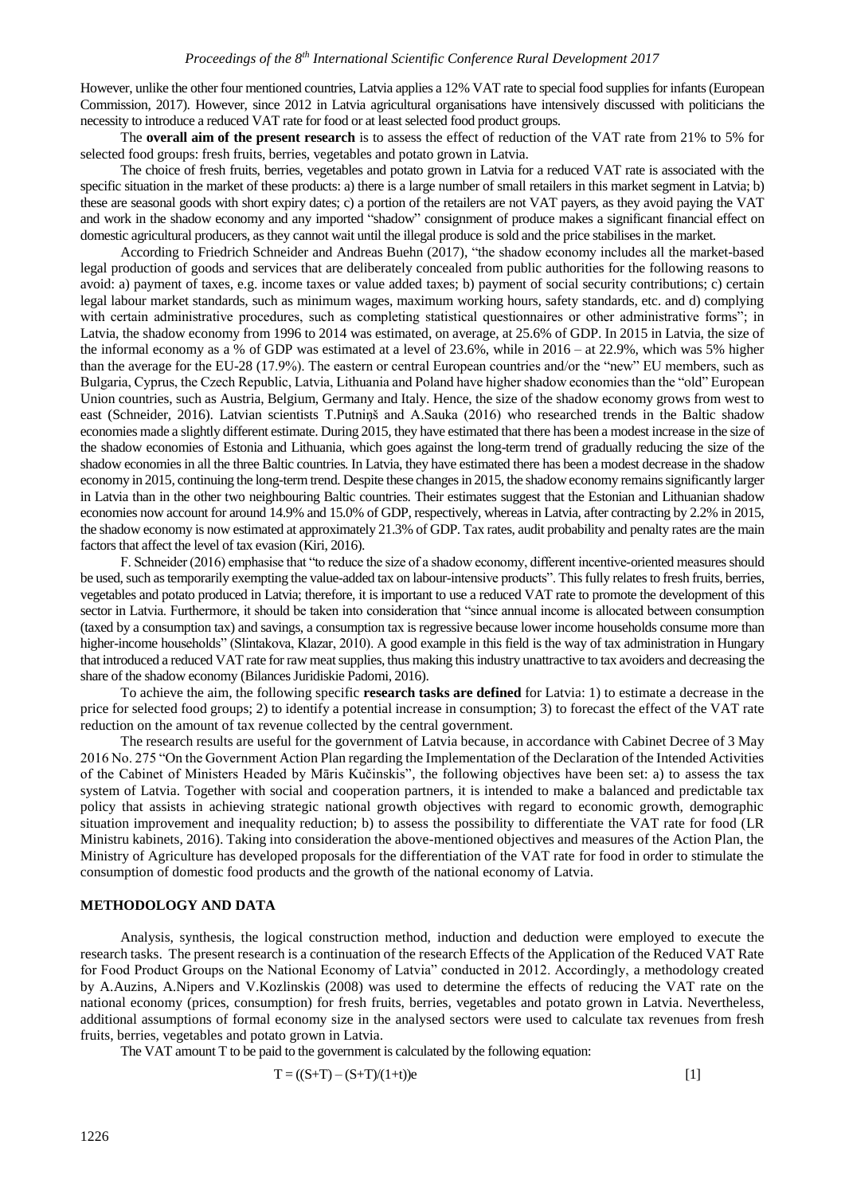However, unlike the other four mentioned countries, Latvia applies a 12% VAT rate to special food supplies for infants (European Commission, 2017). However, since 2012 in Latvia agricultural organisations have intensively discussed with politicians the necessity to introduce a reduced VAT rate for food or at least selected food product groups.

The **overall aim of the present research** is to assess the effect of reduction of the VAT rate from 21% to 5% for selected food groups: fresh fruits, berries, vegetables and potato grown in Latvia.

The choice of fresh fruits, berries, vegetables and potato grown in Latvia for a reduced VAT rate is associated with the specific situation in the market of these products: a) there is a large number of small retailers in this market segment in Latvia; b) these are seasonal goods with short expiry dates; c) a portion of the retailers are not VAT payers, as they avoid paying the VAT and work in the shadow economy and any imported "shadow" consignment of produce makes a significant financial effect on domestic agricultural producers, as they cannot wait until the illegal produce is sold and the price stabilises in the market.

According to Friedrich Schneider and Andreas Buehn (2017), "the shadow economy includes all the market-based legal production of goods and services that are deliberately concealed from public authorities for the following reasons to avoid: a) payment of taxes, e.g. income taxes or value added taxes; b) payment of social security contributions; c) certain legal labour market standards, such as minimum wages, maximum working hours, safety standards, etc. and d) complying with certain administrative procedures, such as completing statistical questionnaires or other administrative forms"; in Latvia, the shadow economy from 1996 to 2014 was estimated, on average, at 25.6% of GDP. In 2015 in Latvia, the size of the informal economy as a % of GDP was estimated at a level of 23.6%, while in 2016 – at 22.9%, which was 5% higher than the average for the EU-28 (17.9%). The eastern or central European countries and/or the "new" EU members, such as Bulgaria, Cyprus, the Czech Republic, Latvia, Lithuania and Poland have higher shadow economies than the "old" European Union countries, such as Austria, Belgium, Germany and Italy. Hence, the size of the shadow economy grows from west to east (Schneider, 2016). Latvian scientists T.Putniņš and A.Sauka (2016) who researched trends in the Baltic shadow economies made a slightly different estimate. During 2015, they have estimated that there has been a modest increase in the size of the shadow economies of Estonia and Lithuania, which goes against the long-term trend of gradually reducing the size of the shadow economies in all the three Baltic countries. In Latvia, they have estimated there has been a modest decrease in the shadow economy in 2015, continuing the long-term trend. Despite these changes in 2015, the shadow economy remains significantly larger in Latvia than in the other two neighbouring Baltic countries. Their estimates suggest that the Estonian and Lithuanian shadow economies now account for around 14.9% and 15.0% of GDP, respectively, whereas in Latvia, after contracting by 2.2% in 2015, the shadow economy is now estimated at approximately 21.3% of GDP. Tax rates, audit probability and penalty rates are the main factors that affect the level of tax evasion (Kiri, 2016).

F. Schneider (2016) emphasise that "to reduce the size of a shadow economy, different incentive-oriented measures should be used, such as temporarily exempting the value-added tax on labour-intensive products". This fully relates to fresh fruits, berries, vegetables and potato produced in Latvia; therefore, it is important to use a reduced VAT rate to promote the development of this sector in Latvia. Furthermore, it should be taken into consideration that "since annual income is allocated between consumption (taxed by a consumption tax) and savings, a consumption tax is regressive because lower income households consume more than higher-income households" (Slintakova, Klazar, 2010). A good example in this field is the way of tax administration in Hungary that introduced a reduced VAT rate for raw meat supplies, thus making this industry unattractive to tax avoiders and decreasing the share of the shadow economy (Bilances Juridiskie Padomi, 2016).

To achieve the aim, the following specific **research tasks are defined** for Latvia: 1) to estimate a decrease in the price for selected food groups; 2) to identify a potential increase in consumption; 3) to forecast the effect of the VAT rate reduction on the amount of tax revenue collected by the central government.

The research results are useful for the government of Latvia because, in accordance with Cabinet Decree of 3 May 2016 No. 275 "On the Government Action Plan regarding the Implementation of the Declaration of the Intended Activities of the Cabinet of Ministers Headed by Māris Kučinskis", the following objectives have been set: a) to assess the tax system of Latvia. Together with social and cooperation partners, it is intended to make a balanced and predictable tax policy that assists in achieving strategic national growth objectives with regard to economic growth, demographic situation improvement and inequality reduction; b) to assess the possibility to differentiate the VAT rate for food (LR Ministru kabinets, 2016). Taking into consideration the above-mentioned objectives and measures of the Action Plan, the Ministry of Agriculture has developed proposals for the differentiation of the VAT rate for food in order to stimulate the consumption of domestic food products and the growth of the national economy of Latvia.

### **METHODOLOGY AND DATA**

Analysis, synthesis, the logical construction method, induction and deduction were employed to execute the research tasks. The present research is a continuation of the research Effects of the Application of the Reduced VAT Rate for Food Product Groups on the National Economy of Latvia" conducted in 2012. Accordingly, a methodology created by A.Auzins, A.Nipers and V.Kozlinskis (2008) was used to determine the effects of reducing the VAT rate on the national economy (prices, consumption) for fresh fruits, berries, vegetables and potato grown in Latvia. Nevertheless, additional assumptions of formal economy size in the analysed sectors were used to calculate tax revenues from fresh fruits, berries, vegetables and potato grown in Latvia.

The VAT amount T to be paid to the government is calculated by the following equation:

$$
T = ((S+T) - (S+T)/(1+t))e
$$
 [1]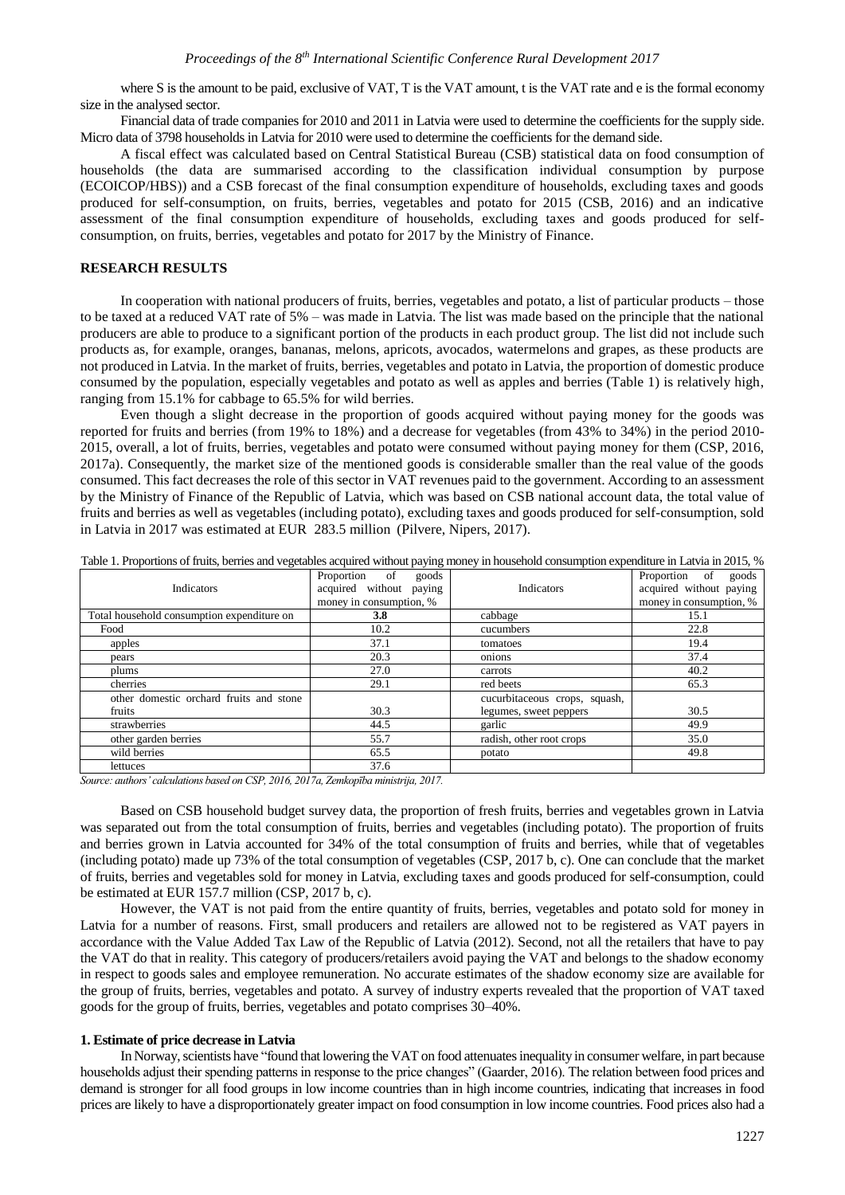where S is the amount to be paid, exclusive of VAT, T is the VAT amount, t is the VAT rate and e is the formal economy size in the analysed sector.

Financial data of trade companies for 2010 and 2011 in Latvia were used to determine the coefficients for the supply side. Micro data of 3798 households in Latvia for 2010 were used to determine the coefficients for the demand side.

A fiscal effect was calculated based on Central Statistical Bureau (CSB) statistical data on food consumption of households (the data are summarised according to the classification individual consumption by purpose (ECOICOP/HBS)) and a CSB forecast of the final consumption expenditure of households, excluding taxes and goods produced for self-consumption, on fruits, berries, vegetables and potato for 2015 (CSB, 2016) and an indicative assessment of the final consumption expenditure of households, excluding taxes and goods produced for selfconsumption, on fruits, berries, vegetables and potato for 2017 by the Ministry of Finance.

# **RESEARCH RESULTS**

In cooperation with national producers of fruits, berries, vegetables and potato, a list of particular products – those to be taxed at a reduced VAT rate of 5% – was made in Latvia. The list was made based on the principle that the national producers are able to produce to a significant portion of the products in each product group. The list did not include such products as, for example, oranges, bananas, melons, apricots, avocados, watermelons and grapes, as these products are not produced in Latvia. In the market of fruits, berries, vegetables and potato in Latvia, the proportion of domestic produce consumed by the population, especially vegetables and potato as well as apples and berries (Table 1) is relatively high, ranging from 15.1% for cabbage to 65.5% for wild berries.

Even though a slight decrease in the proportion of goods acquired without paying money for the goods was reported for fruits and berries (from 19% to 18%) and a decrease for vegetables (from 43% to 34%) in the period 2010- 2015, overall, a lot of fruits, berries, vegetables and potato were consumed without paying money for them (CSP, 2016, 2017a). Consequently, the market size of the mentioned goods is considerable smaller than the real value of the goods consumed. This fact decreases the role of this sector in VAT revenues paid to the government. According to an assessment by the Ministry of Finance of the Republic of Latvia, which was based on CSB national account data, the total value of fruits and berries as well as vegetables (including potato), excluding taxes and goods produced for self-consumption, sold in Latvia in 2017 was estimated at EUR 283.5 million (Pilvere, Nipers, 2017).

| <b>Indicators</b>                          | Proportion<br>of<br>goods<br>acquired without paying<br>money in consumption, % | Indicators                    | Proportion of<br>goods<br>acquired without paying<br>money in consumption, % |
|--------------------------------------------|---------------------------------------------------------------------------------|-------------------------------|------------------------------------------------------------------------------|
| Total household consumption expenditure on | 3.8                                                                             | cabbage                       | 15.1                                                                         |
| Food                                       | 10.2                                                                            | cucumbers                     | 22.8                                                                         |
| apples                                     | 37.1                                                                            | tomatoes                      | 19.4                                                                         |
| pears                                      | 20.3                                                                            | onions                        | 37.4                                                                         |
| plums                                      | 27.0                                                                            | carrots                       | 40.2                                                                         |
| cherries                                   | 29.1                                                                            | red beets                     | 65.3                                                                         |
| other domestic orchard fruits and stone    |                                                                                 | cucurbitaceous crops, squash, |                                                                              |
| fruits                                     | 30.3                                                                            | legumes, sweet peppers        | 30.5                                                                         |
| strawberries                               | 44.5                                                                            | garlic                        | 49.9                                                                         |
| other garden berries                       | 55.7                                                                            | radish, other root crops      | 35.0                                                                         |
| wild berries                               | 65.5                                                                            | potato                        | 49.8                                                                         |
| lettuces                                   | 37.6                                                                            |                               |                                                                              |

Table 1. Proportions of fruits, berries and vegetables acquired without paying money in household consumption expenditure in Latvia in 2015, %

*Source: authors' calculations based on CSP, 2016, 2017a, Zemkopība ministrija, 2017.*

Based on CSB household budget survey data, the proportion of fresh fruits, berries and vegetables grown in Latvia was separated out from the total consumption of fruits, berries and vegetables (including potato). The proportion of fruits and berries grown in Latvia accounted for 34% of the total consumption of fruits and berries, while that of vegetables (including potato) made up 73% of the total consumption of vegetables (CSP, 2017 b, c). One can conclude that the market of fruits, berries and vegetables sold for money in Latvia, excluding taxes and goods produced for self-consumption, could be estimated at EUR 157.7 million (CSP, 2017 b, c).

However, the VAT is not paid from the entire quantity of fruits, berries, vegetables and potato sold for money in Latvia for a number of reasons. First, small producers and retailers are allowed not to be registered as VAT payers in accordance with the Value Added Tax Law of the Republic of Latvia (2012). Second, not all the retailers that have to pay the VAT do that in reality. This category of producers/retailers avoid paying the VAT and belongs to the shadow economy in respect to goods sales and employee remuneration. No accurate estimates of the shadow economy size are available for the group of fruits, berries, vegetables and potato. A survey of industry experts revealed that the proportion of VAT taxed goods for the group of fruits, berries, vegetables and potato comprises 30–40%.

# **1. Estimate of price decrease in Latvia**

In Norway, scientists have "found that lowering the VAT on food attenuates inequality in consumer welfare, in part because households adjust their spending patterns in response to the price changes" (Gaarder, 2016). The relation between food prices and demand is stronger for all food groups in low income countries than in high income countries, indicating that increases in food prices are likely to have a disproportionately greater impact on food consumption in low income countries. Food prices also had a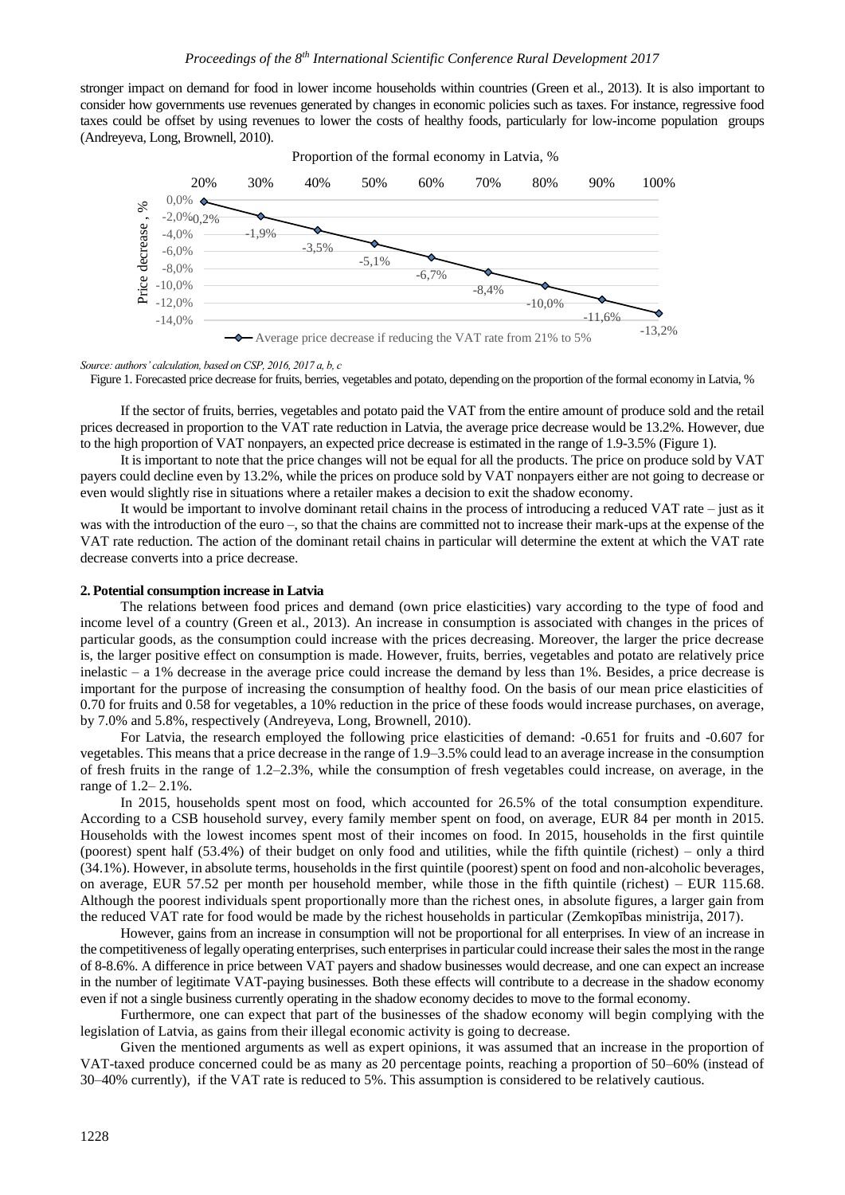stronger impact on demand for food in lower income households within countries [\(Green](https://www.ncbi.nlm.nih.gov/pubmed/?term=Green%20R%5BAuthor%5D&cauthor=true&cauthor_uid=23775799) et al., 2013). It is also important to consider how governments use revenues generated by changes in economic policies such as taxes. For instance, regressive food taxes could be offset by using revenues to lower the costs of healthy foods, particularly for low-income population groups (Andreyeva, Long, Brownell, 2010).





*Source: authors' calculation, based on CSP, 2016, 2017 a, b, c*

Figure 1. Forecasted price decrease for fruits, berries, vegetables and potato, depending on the proportion of the formal economy in Latvia, %

If the sector of fruits, berries, vegetables and potato paid the VAT from the entire amount of produce sold and the retail prices decreased in proportion to the VAT rate reduction in Latvia, the average price decrease would be 13.2%. However, due to the high proportion of VAT nonpayers, an expected price decrease is estimated in the range of 1.9-3.5% (Figure 1).

It is important to note that the price changes will not be equal for all the products. The price on produce sold by VAT payers could decline even by 13.2%, while the prices on produce sold by VAT nonpayers either are not going to decrease or even would slightly rise in situations where a retailer makes a decision to exit the shadow economy.

It would be important to involve dominant retail chains in the process of introducing a reduced VAT rate – just as it was with the introduction of the euro –, so that the chains are committed not to increase their mark-ups at the expense of the VAT rate reduction. The action of the dominant retail chains in particular will determine the extent at which the VAT rate decrease converts into a price decrease.

#### **2. Potential consumption increase in Latvia**

The relations between food prices and demand (own price elasticities) vary according to the type of food and income level of a country [\(Green](https://www.ncbi.nlm.nih.gov/pubmed/?term=Green%20R%5BAuthor%5D&cauthor=true&cauthor_uid=23775799) et al., 2013). An increase in consumption is associated with changes in the prices of particular goods, as the consumption could increase with the prices decreasing. Moreover, the larger the price decrease is, the larger positive effect on consumption is made. However, fruits, berries, vegetables and potato are relatively price inelastic – a 1% decrease in the average price could increase the demand by less than 1%. Besides, a price decrease is important for the purpose of increasing the consumption of healthy food. On the basis of our mean price elasticities of 0.70 for fruits and 0.58 for vegetables, a 10% reduction in the price of these foods would increase purchases, on average, by 7.0% and 5.8%, respectively (Andreyeva, Long, Brownell, 2010).

For Latvia, the research employed the following price elasticities of demand: -0.651 for fruits and -0.607 for vegetables. This means that a price decrease in the range of 1.9–3.5% could lead to an average increase in the consumption of fresh fruits in the range of 1.2–2.3%, while the consumption of fresh vegetables could increase, on average, in the range of 1.2– 2.1%.

In 2015, households spent most on food, which accounted for 26.5% of the total consumption expenditure. According to a CSB household survey, every family member spent on food, on average, EUR 84 per month in 2015. Households with the lowest incomes spent most of their incomes on food. In 2015, households in the first quintile (poorest) spent half (53.4%) of their budget on only food and utilities, while the fifth quintile (richest) – only a third (34.1%). However, in absolute terms, households in the first quintile (poorest) spent on food and non-alcoholic beverages, on average, EUR 57.52 per month per household member, while those in the fifth quintile (richest) – EUR 115.68. Although the poorest individuals spent proportionally more than the richest ones, in absolute figures, a larger gain from the reduced VAT rate for food would be made by the richest households in particular (Zemkopības ministrija, 2017).

However, gains from an increase in consumption will not be proportional for all enterprises. In view of an increase in the competitiveness of legally operating enterprises, such enterprises in particular could increase their sales the most in the range of 8-8.6%. A difference in price between VAT payers and shadow businesses would decrease, and one can expect an increase in the number of legitimate VAT-paying businesses. Both these effects will contribute to a decrease in the shadow economy even if not a single business currently operating in the shadow economy decides to move to the formal economy.

Furthermore, one can expect that part of the businesses of the shadow economy will begin complying with the legislation of Latvia, as gains from their illegal economic activity is going to decrease.

Given the mentioned arguments as well as expert opinions, it was assumed that an increase in the proportion of VAT-taxed produce concerned could be as many as 20 percentage points, reaching a proportion of 50–60% (instead of 30–40% currently), if the VAT rate is reduced to 5%. This assumption is considered to be relatively cautious.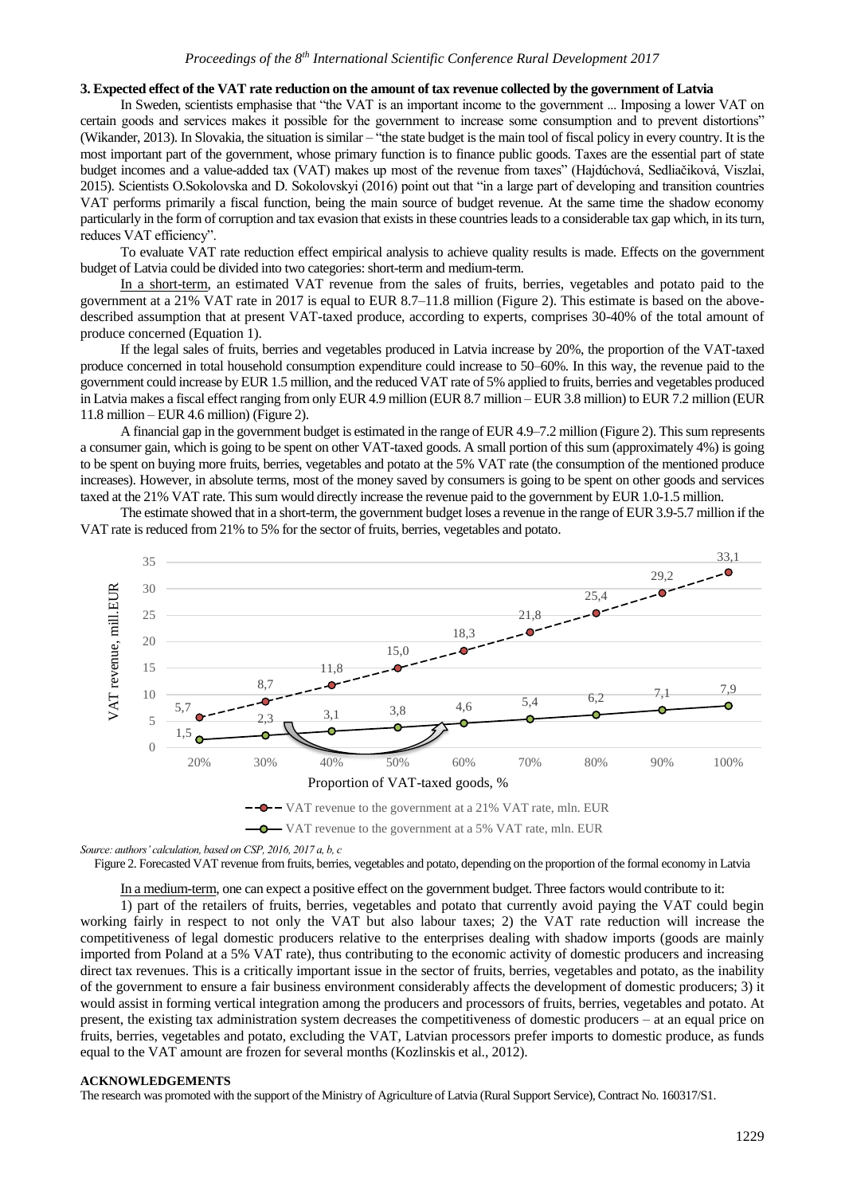# **3. Expected effect of the VAT rate reduction on the amount of tax revenue collected by the government of Latvia**

In Sweden, scientists emphasise that "the VAT is an important income to the government ... Imposing a lower VAT on certain goods and services makes it possible for the government to increase some consumption and to prevent distortions" (Wikander, 2013). In Slovakia, the situation is similar – "the state budget is the main tool of fiscal policy in every country. It is the most important part of the government, whose primary function is to finance public goods. Taxes are the essential part of state budget incomes and a value-added tax (VAT) makes up most of the revenue from taxes" (Hajdúchová, Sedliačiková, Viszlai, 2015). Scientists O.Sokolovska and D. Sokolovskyi (2016) point out that "in a large part of developing and transition countries VAT performs primarily a fiscal function, being the main source of budget revenue. At the same time the shadow economy particularly in the form of corruption and tax evasion that exists in these countries leads to a considerable tax gap which, in its turn, reduces VAT efficiency".

To evaluate VAT rate reduction effect empirical analysis to achieve quality results is made. Effects on the government budget of Latvia could be divided into two categories: short-term and medium-term.

In a short-term, an estimated VAT revenue from the sales of fruits, berries, vegetables and potato paid to the government at a 21% VAT rate in 2017 is equal to EUR 8.7–11.8 million (Figure 2). This estimate is based on the abovedescribed assumption that at present VAT-taxed produce, according to experts, comprises 30-40% of the total amount of produce concerned (Equation 1).

If the legal sales of fruits, berries and vegetables produced in Latvia increase by 20%, the proportion of the VAT-taxed produce concerned in total household consumption expenditure could increase to 50–60%. In this way, the revenue paid to the government could increase by EUR 1.5 million, and the reduced VAT rate of 5% applied to fruits, berries and vegetables produced in Latvia makes a fiscal effect ranging from only EUR 4.9 million (EUR 8.7 million – EUR 3.8 million) to EUR 7.2 million (EUR 11.8 million – EUR 4.6 million) (Figure 2).

A financial gap in the government budget is estimated in the range of EUR 4.9–7.2 million (Figure 2). This sum represents a consumer gain, which is going to be spent on other VAT-taxed goods. A small portion of this sum (approximately 4%) is going to be spent on buying more fruits, berries, vegetables and potato at the 5% VAT rate (the consumption of the mentioned produce increases). However, in absolute terms, most of the money saved by consumers is going to be spent on other goods and services taxed at the 21% VAT rate. This sum would directly increase the revenue paid to the government by EUR 1.0-1.5 million.

The estimate showed that in a short-term, the government budget loses a revenue in the range of EUR 3.9-5.7 million if the VAT rate is reduced from 21% to 5% for the sector of fruits, berries, vegetables and potato.



*Source: authors' calculation, based on CSP, 2016, 2017 a, b, c*

Figure 2. Forecasted VAT revenue from fruits, berries, vegetables and potato, depending on the proportion of the formal economy in Latvia

In a medium-term, one can expect a positive effect on the government budget. Three factors would contribute to it:

1) part of the retailers of fruits, berries, vegetables and potato that currently avoid paying the VAT could begin working fairly in respect to not only the VAT but also labour taxes; 2) the VAT rate reduction will increase the competitiveness of legal domestic producers relative to the enterprises dealing with shadow imports (goods are mainly imported from Poland at a 5% VAT rate), thus contributing to the economic activity of domestic producers and increasing direct tax revenues. This is a critically important issue in the sector of fruits, berries, vegetables and potato, as the inability of the government to ensure a fair business environment considerably affects the development of domestic producers; 3) it would assist in forming vertical integration among the producers and processors of fruits, berries, vegetables and potato. At present, the existing tax administration system decreases the competitiveness of domestic producers – at an equal price on fruits, berries, vegetables and potato, excluding the VAT, Latvian processors prefer imports to domestic produce, as funds equal to the VAT amount are frozen for several months (Kozlinskis et al., 2012).

## **ACKNOWLEDGEMENTS**

The research was promoted with the support of the Ministry of Agriculture of Latvia (Rural Support Service), Contract No. 160317/S1.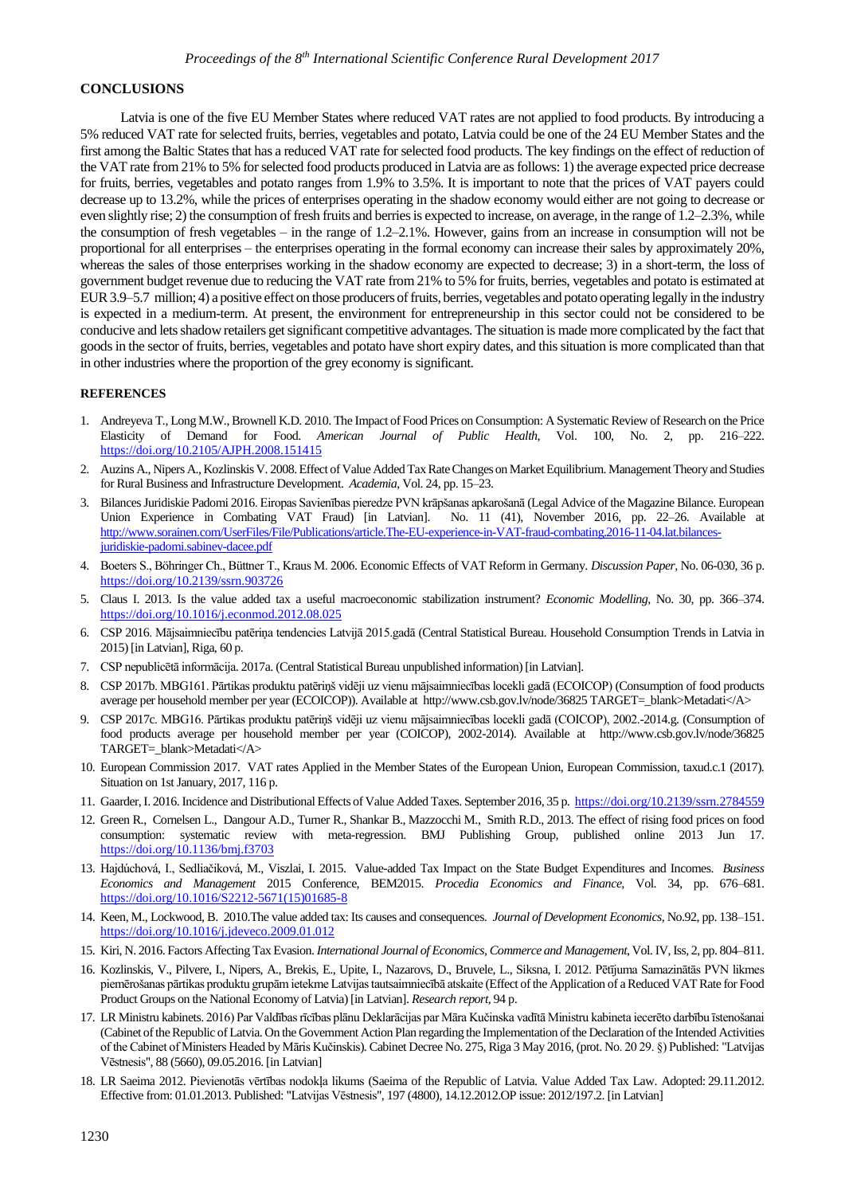## **CONCLUSIONS**

Latvia is one of the five EU Member States where reduced VAT rates are not applied to food products. By introducing a 5% reduced VAT rate for selected fruits, berries, vegetables and potato, Latvia could be one of the 24 EU Member States and the first among the Baltic States that has a reduced VAT rate for selected food products. The key findings on the effect of reduction of the VAT rate from 21% to 5% for selected food products produced in Latvia are as follows: 1) the average expected price decrease for fruits, berries, vegetables and potato ranges from 1.9% to 3.5%. It is important to note that the prices of VAT payers could decrease up to 13.2%, while the prices of enterprises operating in the shadow economy would either are not going to decrease or even slightly rise; 2) the consumption of fresh fruits and berries is expected to increase, on average, in the range of 1.2–2.3%, while the consumption of fresh vegetables – in the range of 1.2–2.1%. However, gains from an increase in consumption will not be proportional for all enterprises – the enterprises operating in the formal economy can increase their sales by approximately 20%, whereas the sales of those enterprises working in the shadow economy are expected to decrease; 3) in a short-term, the loss of government budget revenue due to reducing the VAT rate from 21% to 5% for fruits, berries, vegetables and potato is estimated at EUR 3.9–5.7 million; 4) a positive effect on those producers of fruits, berries, vegetables and potato operating legally in the industry is expected in a medium-term. At present, the environment for entrepreneurship in this sector could not be considered to be conducive and lets shadow retailers get significant competitive advantages. The situation is made more complicated by the fact that goods in the sector of fruits, berries, vegetables and potato have short expiry dates, and this situation is more complicated than that in other industries where the proportion of the grey economy is significant.

### **REFERENCES**

- 1. Andreyeva T., Long M.W., Brownell K.D. 2010. The Impact of Food Prices on Consumption: A Systematic Review of Research on the Price Elasticity of Demand for Food. *American Journal of Public Health*, Vol. 100, No. 2, pp. 216–222. <https://doi.org/10.2105/AJPH.2008.151415>
- 2. Auzins A., Nipers A., Kozlinskis V. 2008. Effect of Value Added Tax Rate Changes on Market Equilibrium. Management Theory and Studies for Rural Business and Infrastructure Development. *Academia*, Vol. 24, pp. 15–23.
- 3. Bilances Juridiskie Padomi 2016. Eiropas Savienības pieredze PVN krāpšanas apkarošanā (Legal Advice of the Magazine Bilance. European Union Experience in Combating VAT Fraud) [in Latvian]. No. 11 (41), November 2016, pp. 22–26. Available at [http://www.sorainen.com/UserFiles/File/Publications/article.The-EU-experience-in-VAT-fraud-combating.2016-11-04.lat.bilances](http://www.sorainen.com/UserFiles/File/Publications/article.The-EU-experience-in-VAT-fraud-combating.2016-11-04.lat.bilances-juridiskie-padomi.sabinev-dacee.pdf)[juridiskie-padomi.sabinev-dacee.pdf](http://www.sorainen.com/UserFiles/File/Publications/article.The-EU-experience-in-VAT-fraud-combating.2016-11-04.lat.bilances-juridiskie-padomi.sabinev-dacee.pdf)
- 4. Boeters S., Böhringer Ch., Büttner T., Kraus M. 2006. Economic Effects of VAT Reform in Germany. *Discussion Paper,* No. 06-030, 36 p. <https://doi.org/10.2139/ssrn.903726>
- 5. Claus I. 2013. Is the value added tax a useful macroeconomic stabilization instrument? *Economic Modelling,* No. 30, pp. 366–374. <https://doi.org/10.1016/j.econmod.2012.08.025>
- 6. CSP 2016. Mājsaimniecību patēriņa tendencies Latvijā 2015.gadā (Central Statistical Bureau. Household Consumption Trends in Latvia in 2015) [in Latvian], Riga, 60 p.
- 7. CSP nepublicētā informācija. 2017a. (Central Statistical Bureau unpublished information) [in Latvian].
- 8. CSP 2017b. MBG161. Pārtikas produktu patēriņš vidēji uz vienu mājsaimniecības locekli gadā (ECOICOP) (Consumption of food products average per household member per year (ECOICOP)). Available at http://www.csb.gov.lv/node/36825 TARGET=\_blank>Metadati</A>
- 9. CSP 2017c. MBG16. Pārtikas produktu patēriņš vidēji uz vienu mājsaimniecības locekli gadā (COICOP), 2002.-2014.g. (Consumption of food products average per household member per year (COICOP), 2002-2014). Available at http://www.csb.gov.lv/node/36825 TARGET=\_blank>Metadati</A>
- 10. European Commission 2017. VAT rates Applied in the Member States of the European Union, European Commission, taxud.c.1 (2017). Situation on 1st January, 2017, 116 p.
- 11. Gaarder,I. 2016. Incidence and Distributional Effects of Value Added Taxes. September 2016, 35 p.<https://doi.org/10.2139/ssrn.2784559>
- 12. [Green](https://www.ncbi.nlm.nih.gov/pubmed/?term=Green%20R%5BAuthor%5D&cauthor=true&cauthor_uid=23775799) R.[, Cornelsen](https://www.ncbi.nlm.nih.gov/pubmed/?term=Cornelsen%20L%5BAuthor%5D&cauthor=true&cauthor_uid=23775799) L.[, Dangour](https://www.ncbi.nlm.nih.gov/pubmed/?term=Dangour%20AD%5BAuthor%5D&cauthor=true&cauthor_uid=23775799) A.D.[, Turner](https://www.ncbi.nlm.nih.gov/pubmed/?term=Turner%20R%5BAuthor%5D&cauthor=true&cauthor_uid=23775799) R.[, Shankar](https://www.ncbi.nlm.nih.gov/pubmed/?term=Shankar%20B%5BAuthor%5D&cauthor=true&cauthor_uid=23775799) B., [Mazzocchi](https://www.ncbi.nlm.nih.gov/pubmed/?term=Mazzocchi%20M%5BAuthor%5D&cauthor=true&cauthor_uid=23775799) M.[, Smith](https://www.ncbi.nlm.nih.gov/pubmed/?term=Smith%20RD%5BAuthor%5D&cauthor=true&cauthor_uid=23775799) R.D., 2013. The effect of rising food prices on food consumption: systematic review with meta-regression. BMJ Publishing Group, published online 2013 Jun 17. <https://doi.org/10.1136/bmj.f3703>
- 13. Hajdúchová, I., Sedliačiková, M., Viszlai, I. 2015. Value-added Tax Impact on the State Budget Expenditures and Incomes. *Business Economics and Management* 2015 Conference, BEM2015. *Procedia Economics and Finance,* Vol. 34, pp. 676–681. [https://doi.org/10.1016/S2212-5671\(15\)01685-8](https://doi.org/10.1016/S2212-5671(15)01685-8)
- 14. Keen, M., Lockwood, B. 2010.The value added tax: Its causes and consequences. *Journal of Development Economics,* No.92, pp. 138–151. <https://doi.org/10.1016/j.jdeveco.2009.01.012>
- 15. Kiri, N. 2016. Factors Affecting Tax Evasion. *International Journal of Economics, Commerce and Management*, Vol. IV, Iss, 2, pp. 804–811.
- 16. Kozlinskis, V., Pilvere, I., Nipers, A., Brekis, E., Upite, I., Nazarovs, D., Bruvele, L., Siksna, I. 2012. Pētījuma Samazinātās PVN likmes piemērošanas pārtikas produktu grupām ietekme Latvijas tautsaimniecībā atskaite (Effect of the Application of a Reduced VAT Rate for Food Product Groups on the National Economy of Latvia) [in Latvian]. *Research report*, 94 p.
- 17. LR Ministru kabinets. 2016) Par Valdības rīcības plānu Deklarācijas par Māra Kučinska vadītā Ministru kabineta iecerēto darbību īstenošanai (Cabinet of the Republic of Latvia. On the Government Action Plan regarding the Implementation of the Declaration of the Intended Activities of the Cabinet of Ministers Headed by Māris Kučinskis). Cabinet Decree No. 275, Riga 3 May 2016, (prot. No. 20 29. §) Published: ["Latvijas](https://www.vestnesis.lv/ta/id/281943-par-valdibas-ricibas-planu-deklaracijas-par-mara-kucinska-vadita-ministru-kabineta-iecereto-darbibu-istenosanai)  [Vēstnesis",](https://www.vestnesis.lv/ta/id/281943-par-valdibas-ricibas-planu-deklaracijas-par-mara-kucinska-vadita-ministru-kabineta-iecereto-darbibu-istenosanai) 88 (5660), 09.05.2016. [in Latvian]
- 18. LR Saeima 2012. Pievienotās vērtības nodokļa likums (Saeima of the Republic of Latvia. Value Added Tax Law. Adopted: 29.11.2012. Effective from: [01.01.2013.](https://likumi.lv/ta/jaunakie/stajas-speka/2013/01/01/) Published: ["Latvijas Vēstnesis",](https://www.vestnesis.lv/ta/id/253451-pievienotas-vertibas-nodokla-likums) 197 (4800), 14.12.2012.OP issue: [2012/197.2.](https://www.vestnesis.lv/url.php?id=253451) [in Latvian]